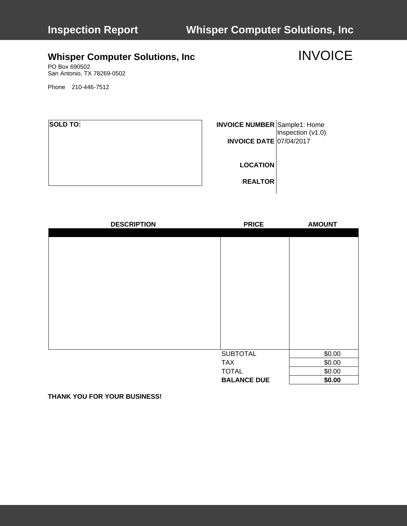# **Inspection Report Whisper Computer Solutions, Inc**

# **Whisper Computer Solutions, Inc MATE:** INVOICE

PO Box 690502 San Antonio, TX 78269-0502

Phone 210-446-7512

| <b>SOLD TO:</b> | <b>INVOICE NUMBER</b> Sample1: Home<br><b>INVOICE DATE 07/04/2017</b> | Inspection (v1.0) |
|-----------------|-----------------------------------------------------------------------|-------------------|
|                 | <b>LOCATION</b>                                                       |                   |
|                 | <b>REALTOR</b>                                                        |                   |

| <b>DESCRIPTION</b> | <b>PRICE</b>       | <b>AMOUNT</b> |
|--------------------|--------------------|---------------|
|                    |                    |               |
|                    |                    |               |
|                    |                    |               |
|                    |                    |               |
|                    |                    |               |
|                    |                    |               |
|                    |                    |               |
|                    |                    |               |
|                    |                    |               |
|                    |                    |               |
|                    |                    |               |
|                    |                    |               |
|                    |                    |               |
|                    | <b>SUBTOTAL</b>    | \$0.00        |
|                    |                    | \$0.00        |
|                    | <b>TAX</b>         |               |
|                    | <b>TOTAL</b>       | \$0.00        |
|                    | <b>BALANCE DUE</b> | \$0.00        |

**THANK YOU FOR YOUR BUSINESS!**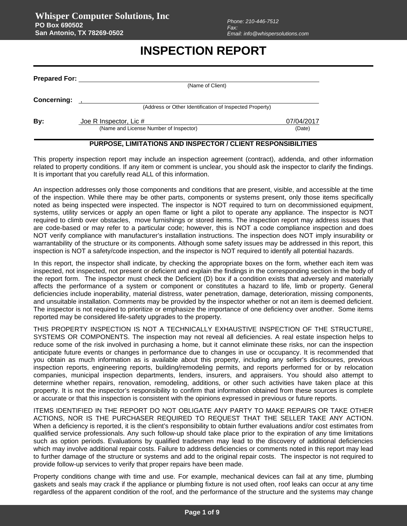## **INSPECTION REPORT**

| (Name of Client)       |                                                                                 |
|------------------------|---------------------------------------------------------------------------------|
|                        |                                                                                 |
| Joe R Inspector, Lic # | 07/04/2017                                                                      |
|                        | <b>Prepared For:</b><br>(Address or Other Identification of Inspected Property) |

### **PURPOSE, LIMITATIONS AND INSPECTOR / CLIENT RESPONSIBILITIES**

This property inspection report may include an inspection agreement (contract), addenda, and other information related to property conditions. If any item or comment is unclear, you should ask the inspector to clarify the findings. It is important that you carefully read ALL of this information.

An inspection addresses only those components and conditions that are present, visible, and accessible at the time of the inspection. While there may be other parts, components or systems present, only those items specifically noted as being inspected were inspected. The inspector is NOT required to turn on decommissioned equipment, systems, utility services or apply an open flame or light a pilot to operate any appliance. The inspector is NOT required to climb over obstacles, move furnishings or stored items. The inspection report may address issues that are code-based or may refer to a particular code; however, this is NOT a code compliance inspection and does NOT verify compliance with manufacturer's installation instructions. The inspection does NOT imply insurability or warrantability of the structure or its components. Although some safety issues may be addressed in this report, this inspection is NOT a safety/code inspection, and the inspector is NOT required to identify all potential hazards.

In this report, the inspector shall indicate, by checking the appropriate boxes on the form, whether each item was inspected, not inspected, not present or deficient and explain the findings in the corresponding section in the body of the report form. The inspector must check the Deficient (D) box if a condition exists that adversely and materially affects the performance of a system or component or constitutes a hazard to life, limb or property. General deficiencies include inoperability, material distress, water penetration, damage, deterioration, missing components, and unsuitable installation. Comments may be provided by the inspector whether or not an item is deemed deficient. The inspector is not required to prioritize or emphasize the importance of one deficiency over another. Some items reported may be considered life-safety upgrades to the property.

THIS PROPERTY INSPECTION IS NOT A TECHNICALLY EXHAUSTIVE INSPECTION OF THE STRUCTURE, SYSTEMS OR COMPONENTS. The inspection may not reveal all deficiencies. A real estate inspection helps to reduce some of the risk involved in purchasing a home, but it cannot eliminate these risks, nor can the inspection anticipate future events or changes in performance due to changes in use or occupancy. It is recommended that you obtain as much information as is available about this property, including any seller's disclosures, previous inspection reports, engineering reports, building/remodeling permits, and reports performed for or by relocation companies, municipal inspection departments, lenders, insurers, and appraisers. You should also attempt to determine whether repairs, renovation, remodeling, additions, or other such activities have taken place at this property. It is not the inspector's responsibility to confirm that information obtained from these sources is complete or accurate or that this inspection is consistent with the opinions expressed in previous or future reports.

ITEMS IDENTIFIED IN THE REPORT DO NOT OBLIGATE ANY PARTY TO MAKE REPAIRS OR TAKE OTHER ACTIONS, NOR IS THE PURCHASER REQUIRED TO REQUEST THAT THE SELLER TAKE ANY ACTION. When a deficiency is reported, it is the client's responsibility to obtain further evaluations and/or cost estimates from qualified service professionals. Any such follow-up should take place prior to the expiration of any time limitations such as option periods. Evaluations by qualified tradesmen may lead to the discovery of additional deficiencies which may involve additional repair costs. Failure to address deficiencies or comments noted in this report may lead to further damage of the structure or systems and add to the original repair costs. The inspector is not required to provide follow-up services to verify that proper repairs have been made.

Property conditions change with time and use. For example, mechanical devices can fail at any time, plumbing gaskets and seals may crack if the appliance or plumbing fixture is not used often, roof leaks can occur at any time regardless of the apparent condition of the roof, and the performance of the structure and the systems may change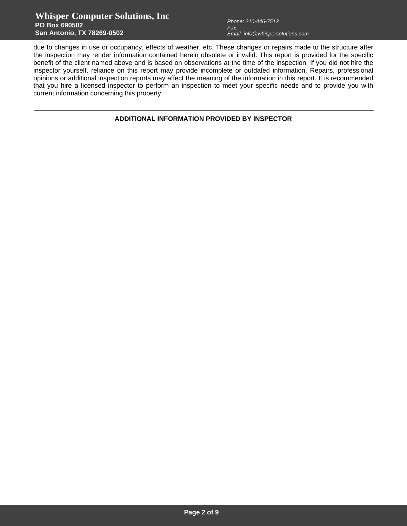## **Whisper Computer Solutions, Inc PO Box 690502 San Antonio, TX 78269-0502**

due to changes in use or occupancy, effects of weather, etc. These changes or repairs made to the structure after the inspection may render information contained herein obsolete or invalid. This report is provided for the specific benefit of the client named above and is based on observations at the time of the inspection. If you did not hire the inspector yourself, reliance on this report may provide incomplete or outdated information. Repairs, professional opinions or additional inspection reports may affect the meaning of the information in this report. It is recommended that you hire a licensed inspector to perform an inspection to meet your specific needs and to provide you with current information concerning this property.

**ADDITIONAL INFORMATION PROVIDED BY INSPECTOR**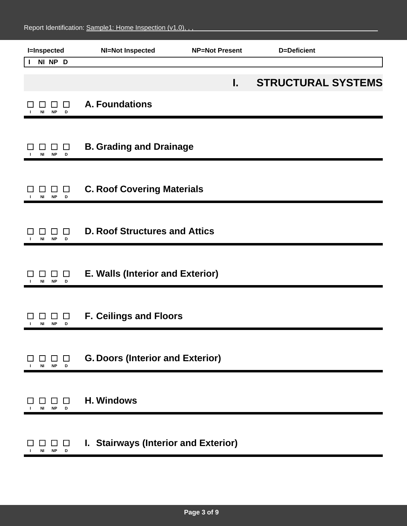| <b>I=Inspected</b>                                     | <b>NI=Not Inspected</b>                 | <b>NP=Not Present</b> | <b>D=Deficient</b>        |  |
|--------------------------------------------------------|-----------------------------------------|-----------------------|---------------------------|--|
| NI NP D<br>J.                                          |                                         |                       |                           |  |
|                                                        |                                         | L.                    | <b>STRUCTURAL SYSTEMS</b> |  |
| $\Box$<br><b>NP</b><br>NI I<br>D                       | <b>A. Foundations</b>                   |                       |                           |  |
| ⊔<br><b>NP</b><br>ΝI<br>D                              | <b>B. Grading and Drainage</b>          |                       |                           |  |
| $\Box$<br>ΙI<br><b>NI</b><br><b>NP</b><br>$\mathbf{D}$ | <b>C. Roof Covering Materials</b>       |                       |                           |  |
| $\Box$<br>ΝI<br><b>NP</b><br>D                         | <b>D. Roof Structures and Attics</b>    |                       |                           |  |
| $\Box$<br>NI<br><b>NP</b><br>D                         | E. Walls (Interior and Exterior)        |                       |                           |  |
| ⊔<br><b>NP</b><br>NI I<br>D                            | <b>F. Ceilings and Floors</b>           |                       |                           |  |
| $\mathcal{L}_{\mathcal{A}}$<br><b>NP</b><br>NI<br>D    | <b>G. Doors (Interior and Exterior)</b> |                       |                           |  |
| □<br><b>NP</b><br>NI<br>D                              | <b>H. Windows</b>                       |                       |                           |  |
| $\Box$<br><b>NP</b><br>D<br>ΝI                         | I. Stairways (Interior and Exterior)    |                       |                           |  |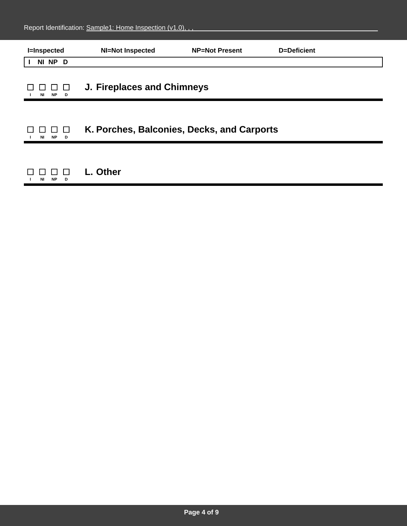| <b>I=Inspected</b>   | <b>NI=Not Inspected</b>           | <b>NP=Not Present</b>                      | <b>D=Deficient</b> |  |
|----------------------|-----------------------------------|--------------------------------------------|--------------------|--|
| NI NP D              |                                   |                                            |                    |  |
| <b>NP</b><br>NI<br>D | <b>J. Fireplaces and Chimneys</b> |                                            |                    |  |
| <b>NP</b><br>NI<br>D |                                   | K. Porches, Balconies, Decks, and Carports |                    |  |
| <b>NP</b><br>ΝI<br>D | L. Other                          |                                            |                    |  |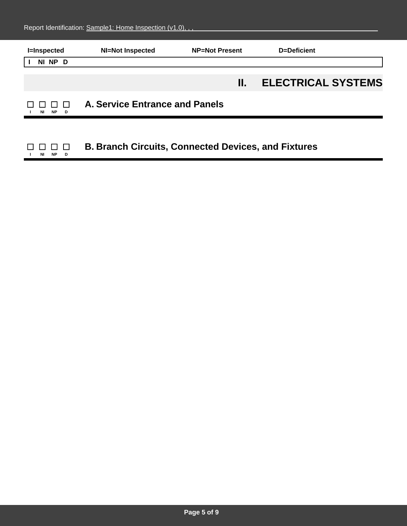| <b>I=Inspected</b>    | <b>NI=Not Inspected</b>                                    | <b>NP=Not Present</b> | D=Deficient               |
|-----------------------|------------------------------------------------------------|-----------------------|---------------------------|
| NI NP D               |                                                            |                       |                           |
|                       |                                                            | Н.                    | <b>ELECTRICAL SYSTEMS</b> |
| <b>NP</b><br>NI<br>D. | A. Service Entrance and Panels                             |                       |                           |
|                       |                                                            |                       |                           |
| <b>NP</b><br>NI<br>D  | <b>B. Branch Circuits, Connected Devices, and Fixtures</b> |                       |                           |

## **Page 5 of 9**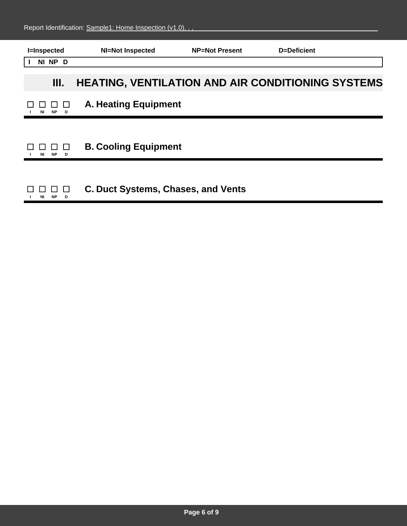| <b>I=Inspected</b> | <b>NI=Not Inspected</b>                                  | <b>NP=Not Present</b> | D=Deficient |  |
|--------------------|----------------------------------------------------------|-----------------------|-------------|--|
| NI NP D            |                                                          |                       |             |  |
| Ш.                 | <b>HEATING, VENTILATION AND AIR CONDITIONING SYSTEMS</b> |                       |             |  |
| <b>NP</b><br>D     | <b>A. Heating Equipment</b>                              |                       |             |  |
|                    |                                                          |                       |             |  |
| <b>NP</b><br>D     | <b>B. Cooling Equipment</b>                              |                       |             |  |
|                    |                                                          |                       |             |  |
| <b>NP</b><br>D     | <b>C. Duct Systems, Chases, and Vents</b>                |                       |             |  |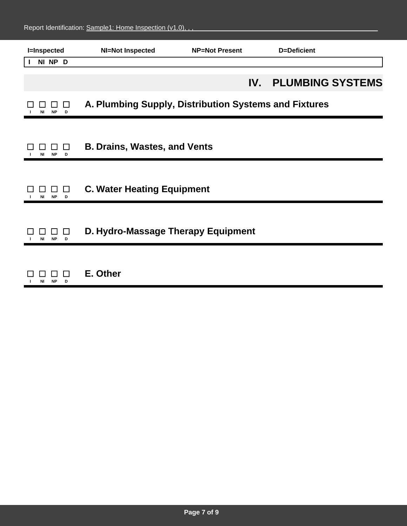| <b>I=Inspected</b>                   | <b>NI=Not Inspected</b>                               | <b>NP=Not Present</b> | <b>D=Deficient</b>      |  |
|--------------------------------------|-------------------------------------------------------|-----------------------|-------------------------|--|
| NI NP D                              |                                                       |                       |                         |  |
|                                      |                                                       | IV.                   | <b>PLUMBING SYSTEMS</b> |  |
| NI<br><b>NP</b><br>D                 | A. Plumbing Supply, Distribution Systems and Fixtures |                       |                         |  |
|                                      |                                                       |                       |                         |  |
| $\mathsf{L}$<br><b>NP</b><br>ΝI<br>D | <b>B. Drains, Wastes, and Vents</b>                   |                       |                         |  |
|                                      |                                                       |                       |                         |  |
| $\Box$<br>NI<br>NP<br>D              | <b>C. Water Heating Equipment</b>                     |                       |                         |  |
|                                      |                                                       |                       |                         |  |
| $\perp$<br>ΝI<br><b>NP</b>           | D. Hydro-Massage Therapy Equipment                    |                       |                         |  |
|                                      |                                                       |                       |                         |  |
| <b>NP</b><br>D<br>ΝI                 | E. Other                                              |                       |                         |  |
|                                      |                                                       |                       |                         |  |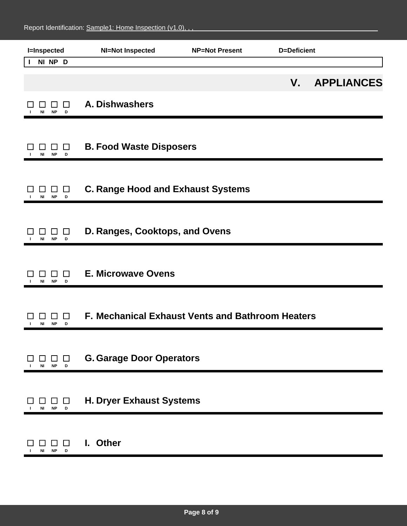| <b>I=Inspected</b>                                     | <b>NI=Not Inspected</b>                          | <b>NP=Not Present</b> | <b>D=Deficient</b> |                   |
|--------------------------------------------------------|--------------------------------------------------|-----------------------|--------------------|-------------------|
| NI NP D<br>$\mathbf{I}$                                |                                                  |                       |                    |                   |
|                                                        |                                                  |                       | V.                 | <b>APPLIANCES</b> |
| ΙI<br><b>NP</b><br>ΝI<br>D                             | A. Dishwashers                                   |                       |                    |                   |
| $\Box$<br>NI<br><b>NP</b><br>D                         | <b>B. Food Waste Disposers</b>                   |                       |                    |                   |
| $\Box$<br>ப<br><b>NP</b><br>NI<br>D                    | <b>C. Range Hood and Exhaust Systems</b>         |                       |                    |                   |
| □<br><b>NP</b><br>D<br>ΝI                              | D. Ranges, Cooktops, and Ovens                   |                       |                    |                   |
| □<br><b>NP</b><br>NI<br>D                              | <b>E. Microwave Ovens</b>                        |                       |                    |                   |
| ப<br>NI<br><b>NP</b><br>D                              | F. Mechanical Exhaust Vents and Bathroom Heaters |                       |                    |                   |
| $\Box$<br>$\perp$<br><b>NP</b><br>ΝI<br>$\blacksquare$ | <b>G. Garage Door Operators</b>                  |                       |                    |                   |
| ப<br><b>NP</b><br>NI<br>D                              | <b>H. Dryer Exhaust Systems</b>                  |                       |                    |                   |
| $\mathsf{L}$<br><b>NP</b><br>ΝI<br>D                   | I. Other                                         |                       |                    |                   |